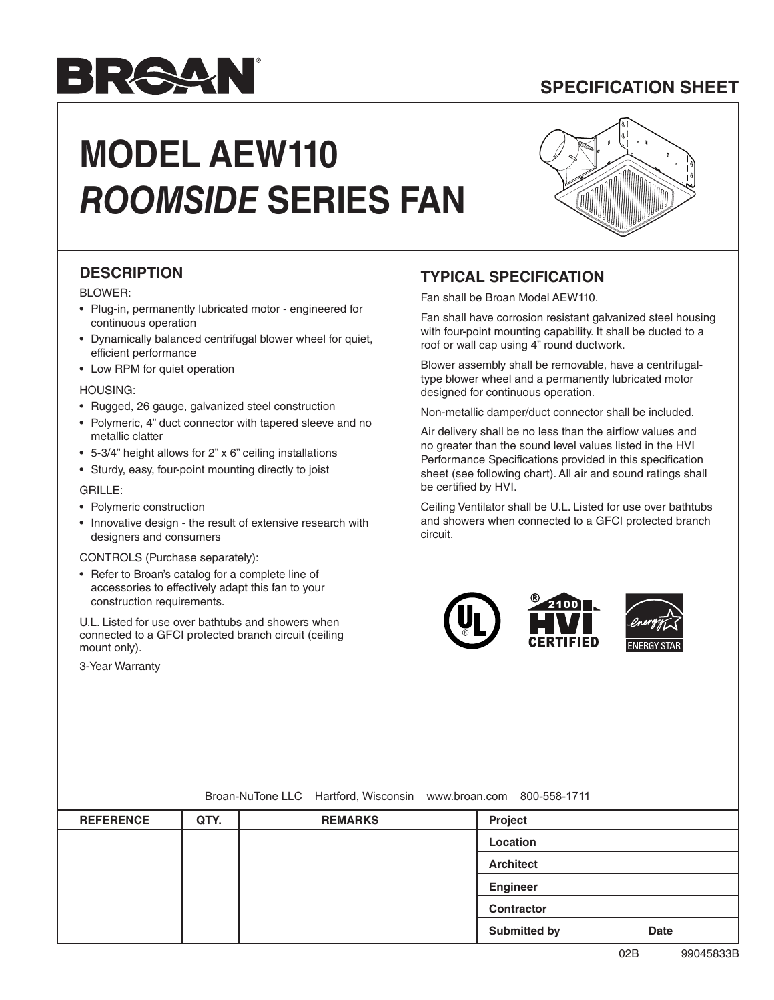# **SPECIFICATION SHEET**

# RAY

# **MODEL AEW110** *ROOMSIDE* **SERIES FAN**



### **DESCRIPTION**

#### BLOWER:

- Plug-in, permanently lubricated motor engineered for continuous operation
- Dynamically balanced centrifugal blower wheel for quiet, efficient performance
- Low RPM for quiet operation

#### HOUSING:

- Rugged, 26 gauge, galvanized steel construction
- Polymeric, 4" duct connector with tapered sleeve and no metallic clatter
- 5-3/4" height allows for 2" x 6" ceiling installations
- Sturdy, easy, four-point mounting directly to joist

#### GRILLE:

- Polymeric construction
- Innovative design the result of extensive research with designers and consumers

#### CONTROLS (Purchase separately):

• Refer to Broan's catalog for a complete line of accessories to effectively adapt this fan to your construction requirements.

U.L. Listed for use over bathtubs and showers when connected to a GFCI protected branch circuit (ceiling mount only).

3-Year Warranty

### **TYPICAL SPECIFICATION**

Fan shall be Broan Model AEW110.

Fan shall have corrosion resistant galvanized steel housing with four-point mounting capability. It shall be ducted to a roof or wall cap using 4" round ductwork.

Blower assembly shall be removable, have a centrifugaltype blower wheel and a permanently lubricated motor designed for continuous operation.

Non-metallic damper/duct connector shall be included.

Air delivery shall be no less than the airflow values and no greater than the sound level values listed in the HVI Performance Specifications provided in this specification sheet (see following chart). All air and sound ratings shall be certified by HVI.

Ceiling Ventilator shall be U.L. Listed for use over bathtubs and showers when connected to a GFCI protected branch circuit.



#### Broan-NuTone LLC Hartford, Wisconsin www.broan.com 800-558-1711

| <b>REFERENCE</b> | QTY. | <b>REMARKS</b> | Project                            |
|------------------|------|----------------|------------------------------------|
|                  |      |                | Location                           |
|                  |      |                | <b>Architect</b>                   |
|                  |      |                | Engineer                           |
|                  |      |                | <b>Contractor</b>                  |
|                  |      |                | <b>Submitted by</b><br><b>Date</b> |